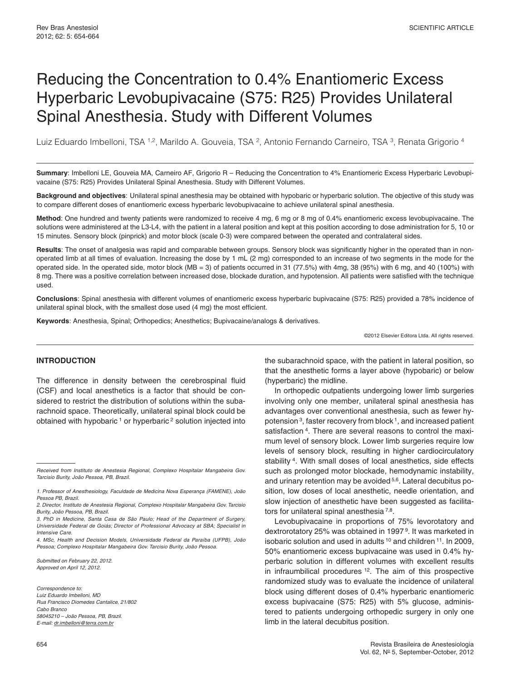# Reducing the Concentration to 0.4% Enantiomeric Excess Hyperbaric Levobupivacaine (S75: R25) Provides Unilateral Spinal Anesthesia. Study with Different Volumes

Luiz Eduardo Imbelloni, TSA 1,2, Marildo A. Gouveia, TSA 2, Antonio Fernando Carneiro, TSA 3, Renata Grigorio 4

**Summary**: Imbelloni LE, Gouveia MA, Carneiro AF, Grigorio R – Reducing the Concentration to 4% Enantiomeric Excess Hyperbaric Levobupivacaine (S75: R25) Provides Unilateral Spinal Anesthesia. Study with Different Volumes.

**Background and objectives**: Unilateral spinal anesthesia may be obtained with hypobaric or hyperbaric solution. The objective of this study was to compare different doses of enantiomeric excess hyperbaric levobupivacaine to achieve unilateral spinal anesthesia.

**Method**: One hundred and twenty patients were randomized to receive 4 mg, 6 mg or 8 mg of 0.4% enantiomeric excess levobupivacaine. The solutions were administered at the L3-L4, with the patient in a lateral position and kept at this position according to dose administration for 5, 10 or 15 minutes. Sensory block (pinprick) and motor block (scale 0-3) were compared between the operated and contralateral sides.

**Results**: The onset of analgesia was rapid and comparable between groups. Sensory block was significantly higher in the operated than in nonoperated limb at all times of evaluation. Increasing the dose by 1 mL (2 mg) corresponded to an increase of two segments in the mode for the operated side. In the operated side, motor block (MB = 3) of patients occurred in 31 (77.5%) with 4mg, 38 (95%) with 6 mg, and 40 (100%) with 8 mg. There was a positive correlation between increased dose, blockade duration, and hypotension. All patients were satisfied with the technique used.

**Conclusions**: Spinal anesthesia with different volumes of enantiomeric excess hyperbaric bupivacaine (S75: R25) provided a 78% incidence of unilateral spinal block, with the smallest dose used (4 mg) the most efficient.

**Keywords**: Anesthesia, Spinal; Orthopedics; Anesthetics; Bupivacaine/analogs & derivatives.

©2012 Elsevier Editora Ltda. All rights reserved.

## **INTRODUCTION**

The difference in density between the cerebrospinal fluid (CSF) and local anesthetics is a factor that should be considered to restrict the distribution of solutions within the subarachnoid space. Theoretically, unilateral spinal block could be obtained with hypobaric 1 or hyperbaric 2 solution injected into

3. PhD in Medicine, Santa Casa de São Paulo; Head of the Department of Surgery, Universidade Federal de Goiás; Director of Professional Advocacy at SBA; Specialist in Intensive Care.

4. MSc, Health and Decision Models, Universidade Federal da Paraíba (UFPB), João Pessoa; Complexo Hospitalar Mangabeira Gov. Tarcisio Burity, João Pessoa.

Submitted on February 22, 2012. Approved on April 12, 2012.

Correspondence to: Luiz Eduardo Imbelloni, MD Rua Francisco Diomedes Cantalice, 21/802 Cabo Branco 58045210 – João Pessoa, PB, Brazil. E-mail: dr.imbelloni@terra.com.br

the subarachnoid space, with the patient in lateral position, so that the anesthetic forms a layer above (hypobaric) or below (hyperbaric) the midline.

In orthopedic outpatients undergoing lower limb surgeries involving only one member, unilateral spinal anesthesia has advantages over conventional anesthesia, such as fewer hypotension 3, faster recovery from block 1, and increased patient satisfaction 4. There are several reasons to control the maximum level of sensory block. Lower limb surgeries require low levels of sensory block, resulting in higher cardiocirculatory stability<sup>4</sup>. With small doses of local anesthetics, side effects such as prolonged motor blockade, hemodynamic instability, and urinary retention may be avoided 5,6. Lateral decubitus position, low doses of local anesthetic, needle orientation, and slow injection of anesthetic have been suggested as facilitators for unilateral spinal anesthesia<sup>7,8</sup>.

Levobupivacaine in proportions of 75% levorotatory and dextrorotatory 25% was obtained in 1997 9. It was marketed in isobaric solution and used in adults 10 and children 11. In 2009, 50% enantiomeric excess bupivacaine was used in 0.4% hyperbaric solution in different volumes with excellent results in infraumbilical procedures  $12$ . The aim of this prospective randomized study was to evaluate the incidence of unilateral block using different doses of 0.4% hyperbaric enantiomeric excess bupivacaine (S75: R25) with 5% glucose, administered to patients undergoing orthopedic surgery in only one limb in the lateral decubitus position.

Received from Instituto de Anestesia Regional, Complexo Hospitalar Mangabeira Gov. Tarcisio Burity, João Pessoa, PB, Brazil.

<sup>1.</sup> Professor of Anesthesiology, Faculdade de Medicina Nova Esperança (FAMENE), João Pessoa PB, Brazil.

<sup>2.</sup> Director, Instituto de Anestesia Regional, Complexo Hospitalar Mangabeira Gov. Tarcisio Burity, João Pessoa, PB, Brazil.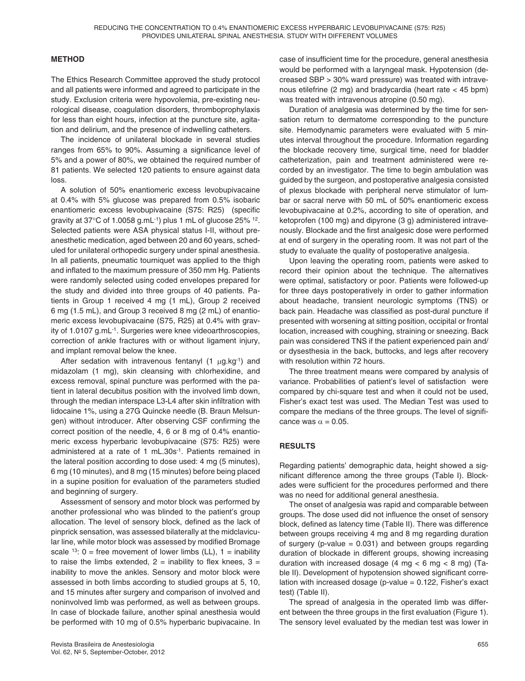# **METHOD**

The Ethics Research Committee approved the study protocol and all patients were informed and agreed to participate in the study. Exclusion criteria were hypovolemia, pre-existing neurological disease, coagulation disorders, thromboprophylaxis for less than eight hours, infection at the puncture site, agitation and delirium, and the presence of indwelling catheters.

The incidence of unilateral blockade in several studies ranges from 65% to 90%. Assuming a significance level of 5% and a power of 80%, we obtained the required number of 81 patients. We selected 120 patients to ensure against data loss.

A solution of 50% enantiomeric excess levobupivacaine at 0.4% with 5% glucose was prepared from 0.5% isobaric enantiomeric excess levobupivacaine (S75: R25) (specific gravity at  $37^{\circ}$ C of 1.0058 g.mL $^{-1}$ ) plus 1 mL of glucose 25%  $^{12}$ . Selected patients were ASA physical status I-II, without preanesthetic medication, aged between 20 and 60 years, scheduled for unilateral orthopedic surgery under spinal anesthesia. In all patients, pneumatic tourniquet was applied to the thigh and inflated to the maximum pressure of 350 mm Hg. Patients were randomly selected using coded envelopes prepared for the study and divided into three groups of 40 patients. Patients in Group 1 received 4 mg (1 mL), Group 2 received 6 mg (1.5 mL), and Group 3 received 8 mg (2 mL) of enantiomeric excess levobupivacaine (S75, R25) at 0.4% with gravity of 1.0107 g.mL-1. Surgeries were knee videoarthroscopies, correction of ankle fractures with or without ligament injury, and implant removal below the knee.

After sedation with intravenous fentanyl  $(1 \mu g.kg^{-1})$  and midazolam (1 mg), skin cleansing with chlorhexidine, and excess removal, spinal puncture was performed with the patient in lateral decubitus position with the involved limb down, through the median interspace L3-L4 after skin infiltration with lidocaine 1%, using a 27G Quincke needle (B. Braun Melsungen) without introducer. After observing CSF confirming the correct position of the needle, 4, 6 or 8 mg of 0.4% enantiomeric excess hyperbaric levobupivacaine (S75: R25) were administered at a rate of 1 mL.30s-1. Patients remained in the lateral position according to dose used: 4 mg (5 minutes), 6 mg (10 minutes), and 8 mg (15 minutes) before being placed in a supine position for evaluation of the parameters studied and beginning of surgery.

Assessment of sensory and motor block was performed by another professional who was blinded to the patient's group allocation. The level of sensory block, defined as the lack of pinprick sensation, was assessed bilaterally at the midclavicular line, while motor block was assessed by modified Bromage scale <sup>13</sup>:  $0 =$  free movement of lower limbs (LL),  $1 =$  inability to raise the limbs extended,  $2 =$  inability to flex knees,  $3 =$ inability to move the ankles. Sensory and motor block were assessed in both limbs according to studied groups at 5, 10, and 15 minutes after surgery and comparison of involved and noninvolved limb was performed, as well as between groups. In case of blockade failure, another spinal anesthesia would be performed with 10 mg of 0.5% hyperbaric bupivacaine. In

case of insufficient time for the procedure, general anesthesia would be performed with a laryngeal mask. Hypotension (decreased SBP > 30% ward pressure) was treated with intravenous etilefrine (2 mg) and bradycardia (heart rate < 45 bpm) was treated with intravenous atropine (0.50 mg).

Duration of analgesia was determined by the time for sensation return to dermatome corresponding to the puncture site. Hemodynamic parameters were evaluated with 5 minutes interval throughout the procedure. Information regarding the blockade recovery time, surgical time, need for bladder catheterization, pain and treatment administered were recorded by an investigator. The time to begin ambulation was guided by the surgeon, and postoperative analgesia consisted of plexus blockade with peripheral nerve stimulator of lumbar or sacral nerve with 50 mL of 50% enantiomeric excess levobupivacaine at 0.2%, according to site of operation, and ketoprofen (100 mg) and dipyrone (3 g) administered intravenously. Blockade and the first analgesic dose were performed at end of surgery in the operating room. It was not part of the study to evaluate the quality of postoperative analgesia.

Upon leaving the operating room, patients were asked to record their opinion about the technique. The alternatives were optimal, satisfactory or poor. Patients were followed-up for three days postoperatively in order to gather information about headache, transient neurologic symptoms (TNS) or back pain. Headache was classified as post-dural puncture if presented with worsening at sitting position, occipital or frontal location, increased with coughing, straining or sneezing. Back pain was considered TNS if the patient experienced pain and/ or dysesthesia in the back, buttocks, and legs after recovery with resolution within 72 hours.

The three treatment means were compared by analysis of variance. Probabilities of patient's level of satisfaction were compared by chi-square test and when it could not be used, Fisher's exact test was used. The Median Test was used to compare the medians of the three groups. The level of significance was  $\alpha = 0.05$ .

# **RESULTS**

Regarding patients' demographic data, height showed a significant difference among the three groups (Table I). Blockades were sufficient for the procedures performed and there was no need for additional general anesthesia.

The onset of analgesia was rapid and comparable between groups. The dose used did not influence the onset of sensory block, defined as latency time (Table II). There was difference between groups receiving 4 mg and 8 mg regarding duration of surgery (p-value  $= 0.031$ ) and between groups regarding duration of blockade in different groups, showing increasing duration with increased dosage  $(4 \text{ mg} < 6 \text{ mg} < 8 \text{ mg})$  (Table II). Development of hypotension showed significant correlation with increased dosage ( $p$ -value = 0.122, Fisher's exact test) (Table II).

The spread of analgesia in the operated limb was different between the three groups in the first evaluation (Figure 1). The sensory level evaluated by the median test was lower in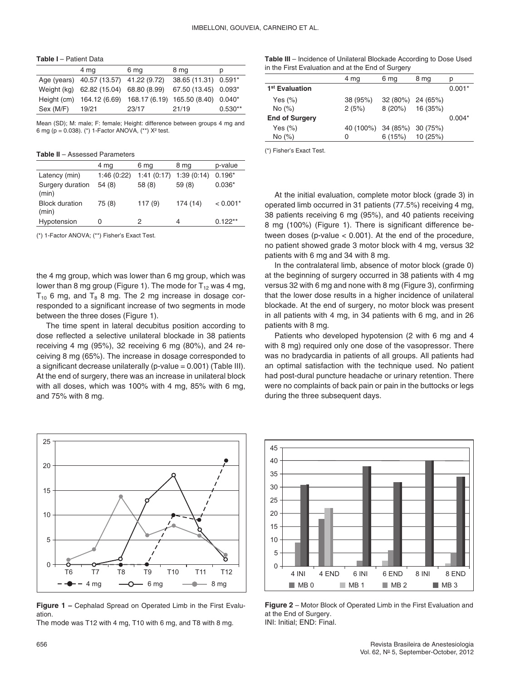**Table I** – Patient Data

|           | 4 mg                                                         | 6 mg  | 8 mg                 | p         |
|-----------|--------------------------------------------------------------|-------|----------------------|-----------|
|           | Age (years) 40.57 (13.57) 41.22 (9.72)                       |       | 38.65 (11.31) 0.591* |           |
|           | Weight (kg) 62.82 (15.04) 68.80 (8.99)                       |       | 67.50 (13.45) 0.093* |           |
|           | Height (cm) 164.12 (6.69) 168.17 (6.19) 165.50 (8.40) 0.040* |       |                      |           |
| Sex (M/F) | 19/21                                                        | 23/17 | 21/19                | $0.530**$ |
|           |                                                              |       |                      |           |

Mean (SD); M: male; F: female; Height: difference between groups 4 mg and 6 mg (p = 0.038). (\*) 1-Factor ANOVA, (\*\*) X² test.

**Table II** – Assessed Parameters

|                                | 4 mg       | 6 mg       | 8 mg       | p-value    |
|--------------------------------|------------|------------|------------|------------|
| Latency (min)                  | 1:46(0:22) | 1:41(0:17) | 1:39(0:14) | $0.196*$   |
| Surgery duration<br>(min)      | 54(8)      | 58 (8)     | 59(8)      | $0.036*$   |
| <b>Block duration</b><br>(min) | 75 (8)     | 117(9)     | 174 (14)   | $< 0.001*$ |
| Hypotension                    |            |            |            | $0.122**$  |

(\*) 1-Factor ANOVA; (\*\*) Fisher's Exact Test.

the 4 mg group, which was lower than 6 mg group, which was lower than 8 mg group (Figure 1). The mode for  $T_{12}$  was 4 mg,  $T_{10}$  6 mg, and  $T_8$  8 mg. The 2 mg increase in dosage corresponded to a significant increase of two segments in mode between the three doses (Figure 1).

The time spent in lateral decubitus position according to dose reflected a selective unilateral blockade in 38 patients receiving 4 mg (95%), 32 receiving 6 mg (80%), and 24 receiving 8 mg (65%). The increase in dosage corresponded to a significant decrease unilaterally (p-value  $= 0.001$ ) (Table III). At the end of surgery, there was an increase in unilateral block with all doses, which was 100% with 4 mg, 85% with 6 mg, and 75% with 8 mg.



**Figure 1 –** Cephalad Spread on Operated Limb in the First Evaluation.

The mode was T12 with 4 mg, T10 with 6 mg, and T8 with 8 mg.

**Table III** – Incidence of Unilateral Blockade According to Dose Used in the First Evaluation and at the End of Surgery

|                            | 4 mg               | 6 mg              | 8 mg     | D        |
|----------------------------|--------------------|-------------------|----------|----------|
| 1 <sup>st</sup> Evaluation |                    |                   |          | $0.001*$ |
| Yes $(\%)$                 | 38 (95%)           | 32 (80%) 24 (65%) |          |          |
| No (%)                     | 2(5%)              | 8(20%)            | 16 (35%) |          |
| <b>End of Surgery</b>      |                    |                   |          | $0.004*$ |
| Yes $(\%)$                 | 40 (100%) 34 (85%) |                   | 30 (75%) |          |
| No (%)                     | 0                  | 6(15%)            | 10 (25%) |          |
|                            |                    |                   |          |          |

(\*) Fisher's Exact Test.

At the initial evaluation, complete motor block (grade 3) in operated limb occurred in 31 patients (77.5%) receiving 4 mg, 38 patients receiving 6 mg (95%), and 40 patients receiving 8 mg (100%) (Figure 1). There is significant difference between doses (p-value < 0.001). At the end of the procedure, no patient showed grade 3 motor block with 4 mg, versus 32 patients with 6 mg and 34 with 8 mg.

In the contralateral limb, absence of motor block (grade 0) at the beginning of surgery occurred in 38 patients with 4 mg versus 32 with 6 mg and none with 8 mg (Figure 3), confirming that the lower dose results in a higher incidence of unilateral blockade. At the end of surgery, no motor block was present in all patients with 4 mg, in 34 patients with 6 mg, and in 26 patients with 8 mg.

Patients who developed hypotension (2 with 6 mg and 4 with 8 mg) required only one dose of the vasopressor. There was no bradycardia in patients of all groups. All patients had an optimal satisfaction with the technique used. No patient had post-dural puncture headache or urinary retention. There were no complaints of back pain or pain in the buttocks or legs during the three subsequent days.



**Figure 2** – Motor Block of Operated Limb in the First Evaluation and at the End of Surgery. INI: Initial; END: Final.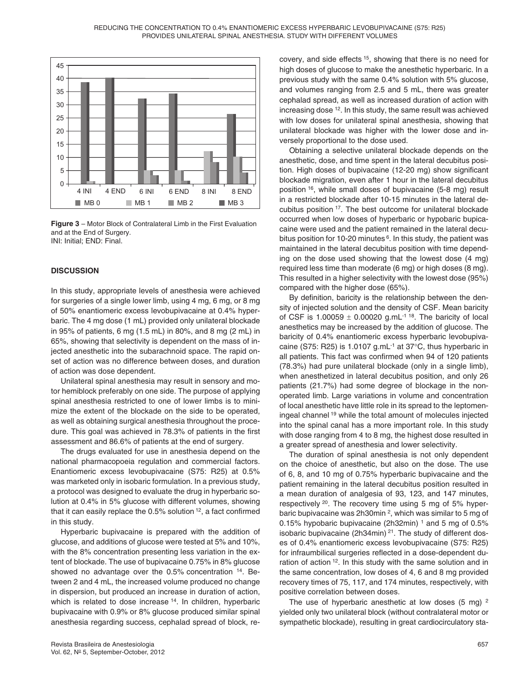

**Figure 3** – Motor Block of Contralateral Limb in the First Evaluation and at the End of Surgery. INI: Initial; END: Final.

#### **DISCUSSION**

In this study, appropriate levels of anesthesia were achieved for surgeries of a single lower limb, using 4 mg, 6 mg, or 8 mg of 50% enantiomeric excess levobupivacaine at 0.4% hyperbaric. The 4 mg dose (1 mL) provided only unilateral blockade in 95% of patients, 6 mg (1.5 mL) in 80%, and 8 mg (2 mL) in 65%, showing that selectivity is dependent on the mass of injected anesthetic into the subarachnoid space. The rapid onset of action was no difference between doses, and duration of action was dose dependent.

Unilateral spinal anesthesia may result in sensory and motor hemiblock preferably on one side. The purpose of applying spinal anesthesia restricted to one of lower limbs is to minimize the extent of the blockade on the side to be operated, as well as obtaining surgical anesthesia throughout the procedure. This goal was achieved in 78.3% of patients in the first assessment and 86.6% of patients at the end of surgery.

The drugs evaluated for use in anesthesia depend on the national pharmacopoeia regulation and commercial factors. Enantiomeric excess levobupivacaine (S75: R25) at 0.5% was marketed only in isobaric formulation. In a previous study, a protocol was designed to evaluate the drug in hyperbaric solution at 0.4% in 5% glucose with different volumes, showing that it can easily replace the  $0.5\%$  solution  $12$ , a fact confirmed in this study.

Hyperbaric bupivacaine is prepared with the addition of glucose, and additions of glucose were tested at 5% and 10%, with the 8% concentration presenting less variation in the extent of blockade. The use of bupivacaine 0.75% in 8% glucose showed no advantage over the 0.5% concentration 14. Between 2 and 4 mL, the increased volume produced no change in dispersion, but produced an increase in duration of action, which is related to dose increase <sup>14</sup>. In children, hyperbaric bupivacaine with 0.9% or 8% glucose produced similar spinal anesthesia regarding success, cephalad spread of block, recovery, and side effects 15, showing that there is no need for high doses of glucose to make the anesthetic hyperbaric. In a previous study with the same 0.4% solution with 5% glucose, and volumes ranging from 2.5 and 5 mL, there was greater cephalad spread, as well as increased duration of action with increasing dose 12. In this study, the same result was achieved with low doses for unilateral spinal anesthesia, showing that unilateral blockade was higher with the lower dose and inversely proportional to the dose used.

Obtaining a selective unilateral blockade depends on the anesthetic, dose, and time spent in the lateral decubitus position. High doses of bupivacaine (12-20 mg) show significant blockade migration, even after 1 hour in the lateral decubitus position 16, while small doses of bupivacaine (5-8 mg) result in a restricted blockade after 10-15 minutes in the lateral decubitus position 17. The best outcome for unilateral blockade occurred when low doses of hyperbaric or hypobaric bupicacaine were used and the patient remained in the lateral decubitus position for 10-20 minutes $6$ . In this study, the patient was maintained in the lateral decubitus position with time depending on the dose used showing that the lowest dose (4 mg) required less time than moderate (6 mg) or high doses (8 mg). This resulted in a higher selectivity with the lowest dose (95%) compared with the higher dose (65%).

By definition, baricity is the relationship between the density of injected solution and the density of CSF. Mean baricity of CSF is 1.00059  $\pm$  0.00020 g.mL<sup>-1 18</sup>. The baricity of local anesthetics may be increased by the addition of glucose. The baricity of 0.4% enantiomeric excess hyperbaric levobupivacaine (S75: R25) is 1.0107 g.mL $^{-1}$  at 37 $^{\circ}$ C, thus hyperbaric in all patients. This fact was confirmed when 94 of 120 patients (78.3%) had pure unilateral blockade (only in a single limb), when anesthetized in lateral decubitus position, and only 26 patients (21.7%) had some degree of blockage in the nonoperated limb. Large variations in volume and concentration of local anesthetic have little role in its spread to the leptomeningeal channel 19 while the total amount of molecules injected into the spinal canal has a more important role. In this study with dose ranging from 4 to 8 mg, the highest dose resulted in a greater spread of anesthesia and lower selectivity.

The duration of spinal anesthesia is not only dependent on the choice of anesthetic, but also on the dose. The use of 6, 8, and 10 mg of 0.75% hyperbaric bupivacaine and the patient remaining in the lateral decubitus position resulted in a mean duration of analgesia of 93, 123, and 147 minutes, respectively 20. The recovery time using 5 mg of 5% hyperbaric bupivacaine was 2h30min 2, which was similar to 5 mg of 0.15% hypobaric bupivacaine (2h32min)  $1$  and 5 mg of 0.5% isobaric bupivacaine (2h34min) 21. The study of different doses of 0.4% enantiomeric excess levobupivacaine (S75: R25) for infraumbilical surgeries reflected in a dose-dependent duration of action <sup>12</sup>. In this study with the same solution and in the same concentration, low doses of 4, 6 and 8 mg provided recovery times of 75, 117, and 174 minutes, respectively, with positive correlation between doses.

The use of hyperbaric anesthetic at low doses  $(5 \text{ mg})^2$ yielded only two unilateral block (without contralateral motor or sympathetic blockade), resulting in great cardiocirculatory sta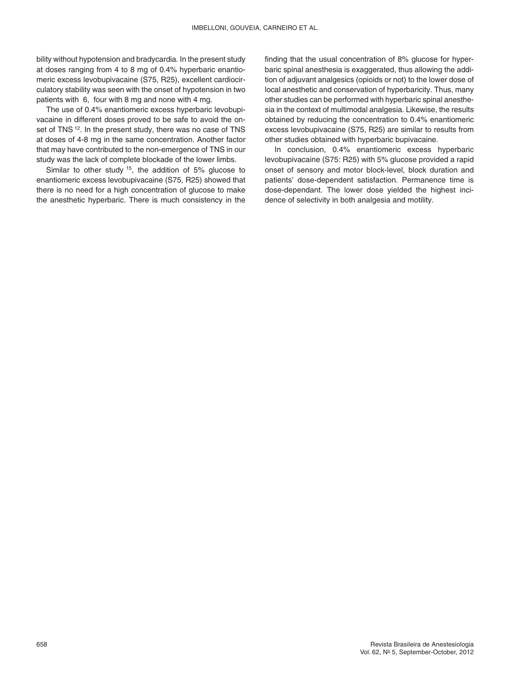bility without hypotension and bradycardia. In the present study at doses ranging from 4 to 8 mg of 0.4% hyperbaric enantiomeric excess levobupivacaine (S75, R25), excellent cardiocirculatory stability was seen with the onset of hypotension in two patients with 6, four with 8 mg and none with 4 mg.

The use of 0.4% enantiomeric excess hyperbaric levobupivacaine in different doses proved to be safe to avoid the onset of TNS<sup>12</sup>. In the present study, there was no case of TNS at doses of 4-8 mg in the same concentration. Another factor that may have contributed to the non-emergence of TNS in our study was the lack of complete blockade of the lower limbs.

Similar to other study <sup>15</sup>, the addition of 5% glucose to enantiomeric excess levobupivacaine (S75, R25) showed that there is no need for a high concentration of glucose to make the anesthetic hyperbaric. There is much consistency in the finding that the usual concentration of 8% glucose for hyperbaric spinal anesthesia is exaggerated, thus allowing the addition of adjuvant analgesics (opioids or not) to the lower dose of local anesthetic and conservation of hyperbaricity. Thus, many other studies can be performed with hyperbaric spinal anesthesia in the context of multimodal analgesia. Likewise, the results obtained by reducing the concentration to 0.4% enantiomeric excess levobupivacaine (S75, R25) are similar to results from other studies obtained with hyperbaric bupivacaine.

In conclusion, 0.4% enantiomeric excess hyperbaric levobupivacaine (S75: R25) with 5% glucose provided a rapid onset of sensory and motor block-level, block duration and patients' dose-dependent satisfaction. Permanence time is dose-dependant. The lower dose yielded the highest incidence of selectivity in both analgesia and motility.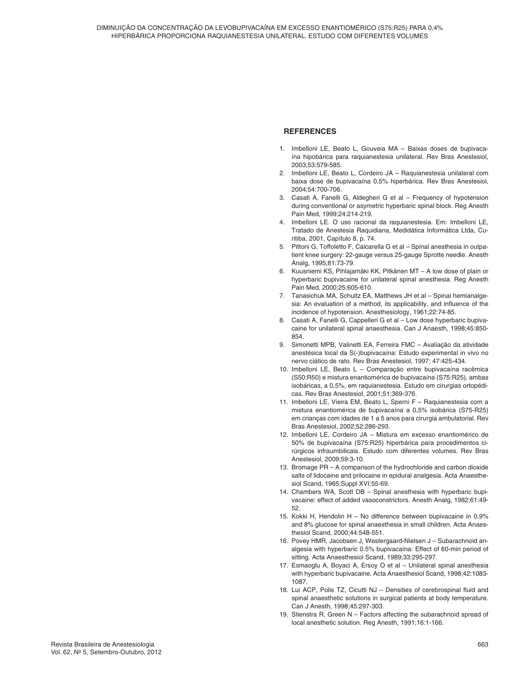### **REFERENCES**

- 1. Imbelloni LE, Beato L, Gouveia MA Baixas doses de bupivacaína hipobárica para raquianestesia unilateral. Rev Bras Anestesiol, 2003;53:579-585.
- 2. Imbelloni LE, Beato L, Cordeiro JA Raquianestesia unilateral com baixa dose de bupivacaína 0,5% hiperbárica. Rev Bras Anestesiol, 2004;54:700-706.
- Casati A, Fanelli G, Aldegheri G et al Frequency of hypotension during conventional or asymetric hyperbaric spinal block. Reg Anesth Pain Med, 1999;24:214-219.
- Imbelloni LE. O uso racional da raquianestesia. Em: Imbelloni LE, Tratado de Anestesia Raquidiana, Medidática Informática Ltda, Curitiba, 2001, Capítulo 8, p. 74.
- 5. Pittoni G, Toffoletto F, Calcarella G et al Spinal anesthesia in outpatient knee surgery: 22-gauge versus 25-gauge Sprotte needle. Anesth Analg, 1995;81:73-79.
- 6. Kuusniemi KS, Pihlajamäki KK, Pitkänen MT A low dose of plain or hyperbaric bupivacaine for unilateral spinal anesthesia. Reg Anesth Pain Med, 2000;25:605-610.
- 7. Tanasichuk MA, Schultz EA, Matthews JH et al Spinal hemianalgesia: An evaluation of a method, its applicability, and influence of the incidence of hypotension. Anesthesiology, 1961;22:74-85.
- 8. Casati A, Fanelli G, Cappelleri G et al Low dose hyperbaric bupivacaine for unilateral spinal anaesthesia. Can J Anaesth, 1998;45:850- 854.
- 9. Simonetti MPB, Valinetti EA, Ferreira FMC Avaliação da atividade anestésica local da S(-)bupivacaína: Estudo experimental in vivo no nervo ciático de rato. Rev Bras Anestesiol, 1997; 47:425-434.
- 10. Imbelloni LE, Beato L Comparação entre bupivacaína racêmica (S50:R50) e mistura enantiomérica de bupivacaína (S75:R25), ambas isobáricas, a 0,5%, em raquianestesia. Estudo em cirurgias ortopédicas. Rev Bras Anestesiol, 2001;51:369-376.
- 11. Imbelloni LE, Vieira EM, Beato L, Sperni F Raquianestesia com a mistura enantiomérica de bupivacaína a 0,5% isobárica (S75-R25) em crianças com idades de 1 a 5 anos para cirurgia ambulatorial. Rev Bras Anestesiol, 2002;52:286-293.
- 12. Imbelloni LE, Cordeiro JA Mistura em excesso enantiomérico de 50% de bupivacaína (S75:R25) hiperbárica para procedimentos cirúrgicos infraumbilicais. Estudo com diferentes volumes. Rev Bras Anestesiol, 2009;59:3-10.
- 13. Bromage PR A comparison of the hydrochloride and carbon dioxide salts of lidocaine and prilocaine in epidural analgesia. Acta Anaesthesiol Scand, 1965;Suppl XVI:55-69.
- 14. Chambers WA, Scott DB Spinal anesthesia with hyperbaric bupivacaine: effect of added vasoconstrictors. Anesth Analg, 1982;61:49- 52.
- 15. Kokki H, Hendolin H No difference between bupivacaine in 0.9% and 8% glucose for spinal anaesthesia in small children. Acta Anaesthesiol Scand, 2000;44:548-551.
- 16. Povey HMR, Jacobsen J, Westergaard-Nielsen J Subarachnoid analgesia with hyperbaric 0.5% bupivacaína: Effect of 60-min period of sitting. Acta Anaesthesiol Scand, 1989;33:295-297.
- 17. Esmaoglu A, Boyaci A, Ersoy O et al Unilateral spinal anesthesia with hyperbaric bupivacaine. Acta Anaesthesiol Scand, 1998;42:1083- 1087.
- 18. Lui ACP, Polis TZ, Cicutti NJ Densities of cerebrospinal fluid and spinal anaesthetic solutions in surgical patients at body temperature. Can J Anesth, 1998;45:297-303.
- 19. Stienstra R, Green N Factors affecting the subarachnoid spread of local anesthetic solution. Reg Anesth, 1991;16:1-166.